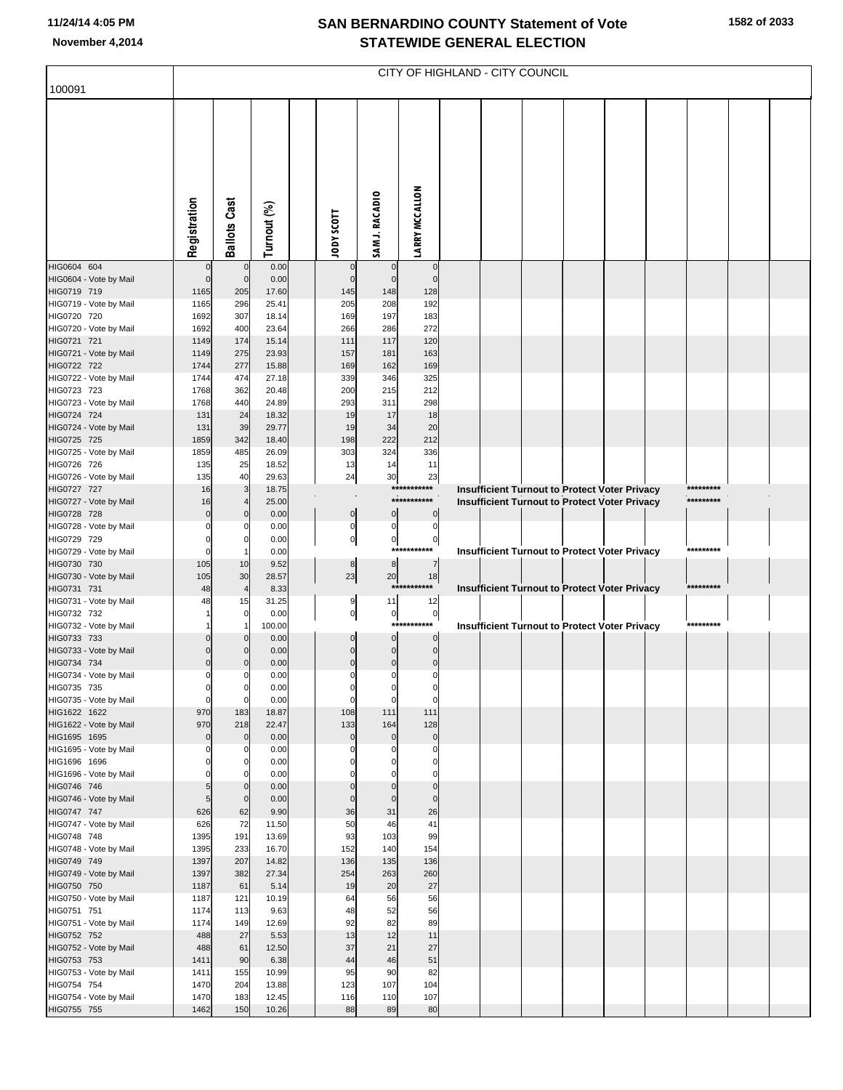## **SAN BERNARDINO COUNTY Statement of Vote November 4,2014 STATEWIDE GENERAL ELECTION**

| 100091                                 | CITY OF HIGHLAND - CITY COUNCIL |                            |                |  |                         |                            |                               |  |  |  |  |                                                      |  |                        |  |
|----------------------------------------|---------------------------------|----------------------------|----------------|--|-------------------------|----------------------------|-------------------------------|--|--|--|--|------------------------------------------------------|--|------------------------|--|
|                                        |                                 |                            |                |  |                         |                            |                               |  |  |  |  |                                                      |  |                        |  |
|                                        |                                 |                            |                |  |                         |                            |                               |  |  |  |  |                                                      |  |                        |  |
|                                        |                                 |                            |                |  |                         |                            |                               |  |  |  |  |                                                      |  |                        |  |
|                                        |                                 |                            |                |  |                         |                            |                               |  |  |  |  |                                                      |  |                        |  |
|                                        |                                 |                            |                |  |                         |                            |                               |  |  |  |  |                                                      |  |                        |  |
|                                        |                                 |                            |                |  |                         |                            |                               |  |  |  |  |                                                      |  |                        |  |
|                                        |                                 |                            |                |  |                         |                            |                               |  |  |  |  |                                                      |  |                        |  |
|                                        |                                 |                            |                |  |                         |                            |                               |  |  |  |  |                                                      |  |                        |  |
|                                        |                                 |                            |                |  |                         |                            |                               |  |  |  |  |                                                      |  |                        |  |
|                                        | Registration                    | <b>Ballots Cast</b>        | Turnout (%)    |  | <b>TIODS XODT</b>       | SAM J. RACADIO             | <b>LARRY MCCALLON</b>         |  |  |  |  |                                                      |  |                        |  |
| HIG0604 604                            | $\mathbf 0$                     | $\mathbf 0$                | 0.00           |  | 0                       | 0                          | $\mathbf 0$                   |  |  |  |  |                                                      |  |                        |  |
| HIG0604 - Vote by Mail                 | $\mathbf 0$                     | $\mathbf 0$                | 0.00           |  | $\mathbf 0$             | $\mathbf 0$                | $\pmb{0}$                     |  |  |  |  |                                                      |  |                        |  |
| HIG0719 719                            | 1165                            | 205                        | 17.60          |  | 145                     | 148                        | 128                           |  |  |  |  |                                                      |  |                        |  |
| HIG0719 - Vote by Mail                 | 1165                            | 296                        | 25.41          |  | 205                     | 208                        | 192                           |  |  |  |  |                                                      |  |                        |  |
| HIG0720 720<br>HIG0720 - Vote by Mail  | 1692<br>1692                    | 307<br>400                 | 18.14<br>23.64 |  | 169<br>266              | 197<br>286                 | 183<br>272                    |  |  |  |  |                                                      |  |                        |  |
| HIG0721 721                            | 1149                            | 174                        | 15.14          |  | 111                     | 117                        | 120                           |  |  |  |  |                                                      |  |                        |  |
| HIG0721 - Vote by Mail                 | 1149                            | 275                        | 23.93          |  | 157                     | 181                        | 163                           |  |  |  |  |                                                      |  |                        |  |
| HIG0722 722                            | 1744                            | 277                        | 15.88          |  | 169                     | 162                        | 169                           |  |  |  |  |                                                      |  |                        |  |
| HIG0722 - Vote by Mail<br>HIG0723 723  | 1744<br>1768                    | 474<br>362                 | 27.18<br>20.48 |  | 339<br>200              | 346<br>215                 | 325<br>212                    |  |  |  |  |                                                      |  |                        |  |
| HIG0723 - Vote by Mail                 | 1768                            | 440                        | 24.89          |  | 293                     | 311                        | 298                           |  |  |  |  |                                                      |  |                        |  |
| HIG0724 724                            | 131                             | 24                         | 18.32          |  | 19                      | 17                         | 18                            |  |  |  |  |                                                      |  |                        |  |
| HIG0724 - Vote by Mail                 | 131                             | 39                         | 29.77          |  | 19                      | 34                         | 20                            |  |  |  |  |                                                      |  |                        |  |
| HIG0725 725<br>HIG0725 - Vote by Mail  | 1859<br>1859                    | 342<br>485                 | 18.40<br>26.09 |  | 198<br>303              | 222<br>324                 | 212<br>336                    |  |  |  |  |                                                      |  |                        |  |
| HIG0726 726                            | 135                             | 25                         | 18.52          |  | 13                      | 14                         | 11                            |  |  |  |  |                                                      |  |                        |  |
| HIG0726 - Vote by Mail                 | 135                             | 40                         | 29.63          |  | 24                      | 30                         | 23                            |  |  |  |  |                                                      |  |                        |  |
| HIG0727 727                            | 16                              | 3                          | 18.75          |  |                         |                            | ***********<br>***********    |  |  |  |  | Insufficient Turnout to Protect Voter Privacy        |  | *********<br>********* |  |
| HIG0727 - Vote by Mail<br>HIG0728 728  | 16<br>$\mathbf 0$               | $\mathbf 0$                | 25.00<br>0.00  |  | $\mathbf 0$             | $\mathbf 0$                | $\pmb{0}$                     |  |  |  |  | Insufficient Turnout to Protect Voter Privacy        |  |                        |  |
| HIG0728 - Vote by Mail                 | $\Omega$                        | 0                          | 0.00           |  | $\mathbf 0$             | 0                          | $\overline{0}$                |  |  |  |  |                                                      |  |                        |  |
| HIG0729 729                            | $\mathbf 0$                     | 0                          | 0.00           |  | $\pmb{0}$               | 이                          | $\overline{0}$                |  |  |  |  |                                                      |  |                        |  |
| HIG0729 - Vote by Mail                 | $\mathbf 0$                     |                            | 0.00           |  |                         |                            | ***********                   |  |  |  |  | <b>Insufficient Turnout to Protect Voter Privacy</b> |  | *********              |  |
| HIG0730 730<br>HIG0730 - Vote by Mail  | 105<br>105                      | 10<br>30                   | 9.52<br>28.57  |  | $\bf8$<br>23            | 8<br>20                    | 7<br>18                       |  |  |  |  |                                                      |  |                        |  |
| HIG0731 731                            | 48                              | $\overline{4}$             | 8.33           |  |                         |                            | ***********                   |  |  |  |  | <b>Insufficient Turnout to Protect Voter Privacy</b> |  | *********              |  |
| HIG0731 - Vote by Mail                 | 48                              | 15                         | 31.25          |  | 9                       | 11                         | 12                            |  |  |  |  |                                                      |  |                        |  |
| HIG0732 732<br>HIG0732 - Vote by Mail  |                                 | 0<br>1                     | 0.00<br>100.00 |  | $\overline{0}$          | $\overline{0}$             | $\overline{0}$<br>*********** |  |  |  |  | Insufficient Turnout to Protect Voter Privacy        |  | *********              |  |
| HIG0733 733                            | $\Omega$                        | $\mathbf 0$                | 0.00           |  | 0                       | $\mathbf 0$                | $\mathbf 0$                   |  |  |  |  |                                                      |  |                        |  |
| HIG0733 - Vote by Mail                 | $\Omega$                        | $\Omega$                   | 0.00           |  | 0                       | $\pmb{0}$                  | $\pmb{0}$                     |  |  |  |  |                                                      |  |                        |  |
| HIG0734 734                            | $\mathbf 0$                     | 0                          | 0.00           |  | $\mathbf 0$             | $\pmb{0}$                  | $\mathbf 0$                   |  |  |  |  |                                                      |  |                        |  |
| HIG0734 - Vote by Mail<br>HIG0735 735  | $\Omega$<br>0                   | 0                          | 0.00<br>0.00   |  | 0<br>0                  | 0<br>0                     | 0<br>0                        |  |  |  |  |                                                      |  |                        |  |
| HIG0735 - Vote by Mail                 | $\mathbf 0$                     | $\mathbf 0$                | 0.00           |  | 0                       | 0                          | 0                             |  |  |  |  |                                                      |  |                        |  |
| HIG1622 1622                           | 970                             | 183                        | 18.87          |  | 108                     | 111                        | 111                           |  |  |  |  |                                                      |  |                        |  |
| HIG1622 - Vote by Mail<br>HIG1695 1695 | 970                             | 218                        | 22.47          |  | 133<br>$\mathbf 0$      | 164<br>$\mathbf 0$         | 128<br>$\pmb{0}$              |  |  |  |  |                                                      |  |                        |  |
| HIG1695 - Vote by Mail                 | $\mathbf 0$<br>$\Omega$         | $\mathbf 0$<br>0           | 0.00<br>0.00   |  | 0                       |                            | 0                             |  |  |  |  |                                                      |  |                        |  |
| HIG1696 1696                           | 0                               | 0                          | 0.00           |  | 0                       | $\Omega$                   | 0                             |  |  |  |  |                                                      |  |                        |  |
| HIG1696 - Vote by Mail                 | $\mathbf 0$                     | 0                          | 0.00           |  |                         |                            | $\Omega$                      |  |  |  |  |                                                      |  |                        |  |
| HIG0746 746<br>HIG0746 - Vote by Mail  | 5 <sub>5</sub><br>5             | $\mathbf 0$<br>$\mathbf 0$ | 0.00<br>0.00   |  | $\mathbf 0$<br>$\Omega$ | $\mathbf 0$<br>$\mathbf 0$ | $\mathbf 0$<br>$\mathbf 0$    |  |  |  |  |                                                      |  |                        |  |
| HIG0747 747                            | 626                             | 62                         | 9.90           |  | 36                      | 31                         | 26                            |  |  |  |  |                                                      |  |                        |  |
| HIG0747 - Vote by Mail                 | 626                             | 72                         | 11.50          |  | 50                      | 46                         | 41                            |  |  |  |  |                                                      |  |                        |  |
| HIG0748 748                            | 1395                            | 191                        | 13.69          |  | 93                      | 103                        | 99                            |  |  |  |  |                                                      |  |                        |  |
| HIG0748 - Vote by Mail<br>HIG0749 749  | 1395<br>1397                    | 233<br>207                 | 16.70<br>14.82 |  | 152<br>136              | 140<br>135                 | 154<br>136                    |  |  |  |  |                                                      |  |                        |  |
| HIG0749 - Vote by Mail                 | 1397                            | 382                        | 27.34          |  | 254                     | 263                        | 260                           |  |  |  |  |                                                      |  |                        |  |
| HIG0750 750                            | 1187                            | 61                         | 5.14           |  | 19                      | 20                         | 27                            |  |  |  |  |                                                      |  |                        |  |
| HIG0750 - Vote by Mail<br>HIG0751 751  | 1187<br>1174                    | 121<br>113                 | 10.19<br>9.63  |  | 64<br>48                | 56<br>52                   | 56<br>56                      |  |  |  |  |                                                      |  |                        |  |
| HIG0751 - Vote by Mail                 | 1174                            | 149                        | 12.69          |  | 92                      | 82                         | 89                            |  |  |  |  |                                                      |  |                        |  |
| HIG0752 752                            | 488                             | 27                         | 5.53           |  | 13                      | 12                         | 11                            |  |  |  |  |                                                      |  |                        |  |
| HIG0752 - Vote by Mail                 | 488                             | 61                         | 12.50          |  | 37                      | 21                         | 27                            |  |  |  |  |                                                      |  |                        |  |
| HIG0753 753<br>HIG0753 - Vote by Mail  | 1411<br>1411                    | 90<br>155                  | 6.38<br>10.99  |  | 44<br>95                | 46<br>90                   | 51<br>82                      |  |  |  |  |                                                      |  |                        |  |
| HIG0754 754                            | 1470                            | 204                        | 13.88          |  | 123                     | 107                        | 104                           |  |  |  |  |                                                      |  |                        |  |
| HIG0754 - Vote by Mail                 | 1470                            | 183                        | 12.45          |  | 116                     | 110                        | 107                           |  |  |  |  |                                                      |  |                        |  |
| HIG0755 755                            | 1462                            | 150                        | 10.26          |  | 88                      | 89                         | 80                            |  |  |  |  |                                                      |  |                        |  |